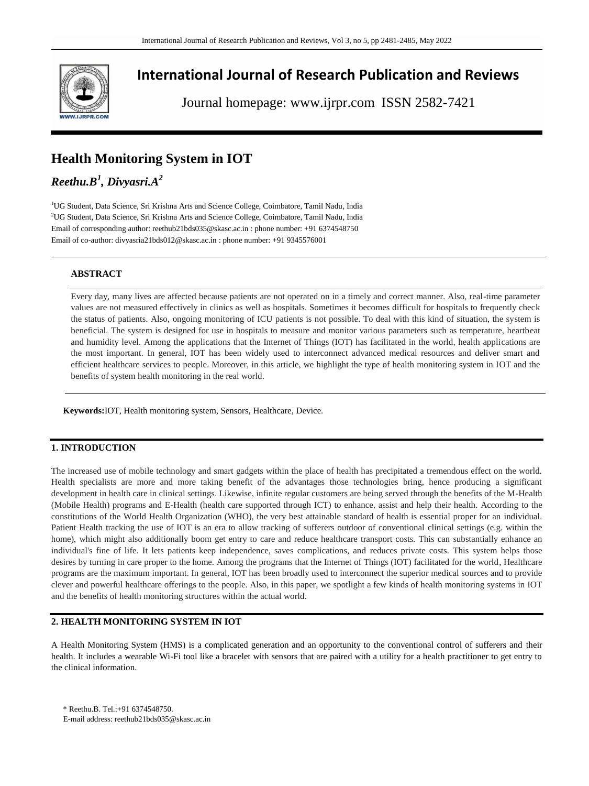

# **International Journal of Research Publication and Reviews**

Journal homepage: www.ijrpr.com ISSN 2582-7421

## **Health Monitoring System in IOT**

## *Reethu.B<sup>1</sup> , Divyasri.A<sup>2</sup>*

<sup>1</sup>UG Student, Data Science, Sri Krishna Arts and Science College, Coimbatore, Tamil Nadu, India <sup>2</sup>UG Student, Data Science, Sri Krishna Arts and Science College, Coimbatore, Tamil Nadu, India Email of corresponding author[: reethub21bds035@skasc.ac.in](mailto:reethub21bds035@skasc.ac.in) : phone number: +91 6374548750 Email of co-author[: divyasria21bds012@skasc.ac.in](mailto:divyasria21bds012@skasc.ac.in) : phone number: +91 9345576001

## **ABSTRACT**

Every day, many lives are affected because patients are not operated on in a timely and correct manner. Also, real-time parameter values are not measured effectively in clinics as well as hospitals. Sometimes it becomes difficult for hospitals to frequently check the status of patients. Also, ongoing monitoring of ICU patients is not possible. To deal with this kind of situation, the system is beneficial. The system is designed for use in hospitals to measure and monitor various parameters such as temperature, heartbeat and humidity level. Among the applications that the Internet of Things (IOT) has facilitated in the world, health applications are the most important. In general, IOT has been widely used to interconnect advanced medical resources and deliver smart and efficient healthcare services to people. Moreover, in this article, we highlight the type of health monitoring system in IOT and the benefits of system health monitoring in the real world.

**Keywords:**IOT, Health monitoring system, Sensors, Healthcare, Device.

## **1. INTRODUCTION**

The increased use of mobile technology and smart gadgets within the place of health has precipitated a tremendous effect on the world. Health specialists are more and more taking benefit of the advantages those technologies bring, hence producing a significant development in health care in clinical settings. Likewise, infinite regular customers are being served through the benefits of the M-Health (Mobile Health) programs and E-Health (health care supported through ICT) to enhance, assist and help their health. According to the constitutions of the World Health Organization (WHO), the very best attainable standard of health is essential proper for an individual. Patient Health tracking the use of IOT is an era to allow tracking of sufferers outdoor of conventional clinical settings (e.g. within the home), which might also additionally boom get entry to care and reduce healthcare transport costs. This can substantially enhance an individual's fine of life. It lets patients keep independence, saves complications, and reduces private costs. This system helps those desires by turning in care proper to the home. Among the programs that the Internet of Things (IOT) facilitated for the world, Healthcare programs are the maximum important. In general, IOT has been broadly used to interconnect the superior medical sources and to provide clever and powerful healthcare offerings to the people. Also, in this paper, we spotlight a few kinds of health monitoring systems in IOT and the benefits of health monitoring structures within the actual world.

## **2. HEALTH MONITORING SYSTEM IN IOT**

A Health Monitoring System (HMS) is a complicated generation and an opportunity to the conventional control of sufferers and their health. It includes a wearable Wi-Fi tool like a bracelet with sensors that are paired with a utility for a health practitioner to get entry to the clinical information.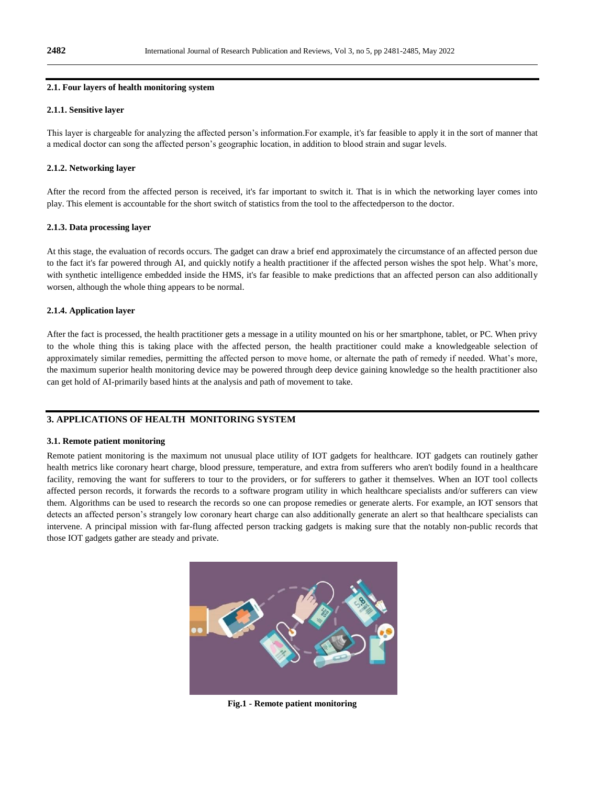#### **2.1. Four layers of health monitoring system**

#### **2.1.1. Sensitive layer**

This layer is chargeable for analyzing the affected person's information.For example, it's far feasible to apply it in the sort of manner that a medical doctor can song the affected person's geographic location, in addition to blood strain and sugar levels.

#### **2.1.2. Networking layer**

After the record from the affected person is received, it's far important to switch it. That is in which the networking layer comes into play. This element is accountable for the short switch of statistics from the tool to the affectedperson to the doctor.

#### **2.1.3. Data processing layer**

At this stage, the evaluation of records occurs. The gadget can draw a brief end approximately the circumstance of an affected person due to the fact it's far powered through AI, and quickly notify a health practitioner if the affected person wishes the spot help. What's more, with synthetic intelligence embedded inside the HMS, it's far feasible to make predictions that an affected person can also additionally worsen, although the whole thing appears to be normal.

#### **2.1.4. Application layer**

After the fact is processed, the health practitioner gets a message in a utility mounted on his or her smartphone, tablet, or PC. When privy to the whole thing this is taking place with the affected person, the health practitioner could make a knowledgeable selection of approximately similar remedies, permitting the affected person to move home, or alternate the path of remedy if needed. What's more, the maximum superior health monitoring device may be powered through deep device gaining knowledge so the health practitioner also can get hold of AI-primarily based hints at the analysis and path of movement to take.

#### **3. APPLICATIONS OF HEALTH MONITORING SYSTEM**

#### **3.1. Remote patient monitoring**

Remote patient monitoring is the maximum not unusual place utility of IOT gadgets for healthcare. IOT gadgets can routinely gather health metrics like coronary heart charge, blood pressure, temperature, and extra from sufferers who aren't bodily found in a healthcare facility, removing the want for sufferers to tour to the providers, or for sufferers to gather it themselves. When an IOT tool collects affected person records, it forwards the records to a software program utility in which healthcare specialists and/or sufferers can view them. Algorithms can be used to research the records so one can propose remedies or generate alerts. For example, an IOT sensors that detects an affected person's strangely low coronary heart charge can also additionally generate an alert so that healthcare specialists can intervene. A principal mission with far-flung affected person tracking gadgets is making sure that the notably non-public records that those IOT gadgets gather are steady and private.



**Fig.1 - Remote patient monitoring**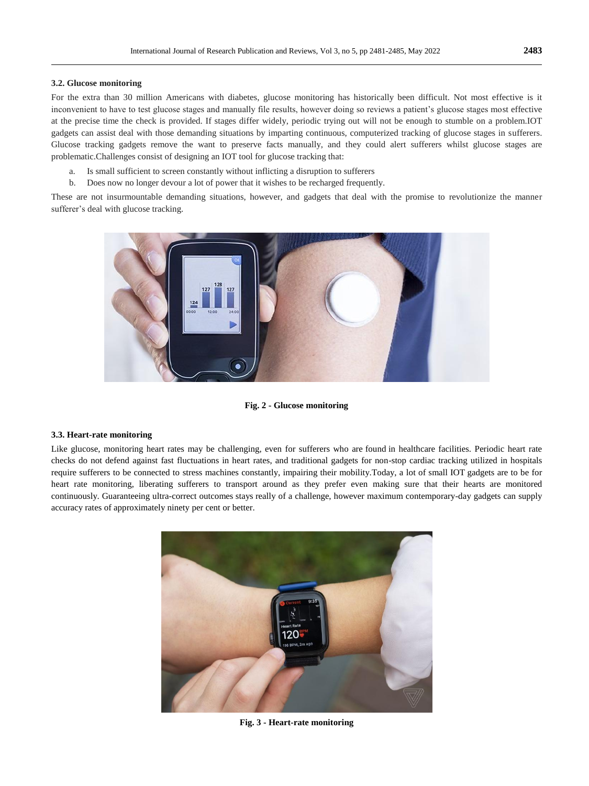#### **3.2. Glucose monitoring**

For the extra than 30 million Americans with diabetes, glucose monitoring has historically been difficult. Not most effective is it inconvenient to have to test glucose stages and manually file results, however doing so reviews a patient's glucose stages most effective at the precise time the check is provided. If stages differ widely, periodic trying out will not be enough to stumble on a problem.IOT gadgets can assist deal with those demanding situations by imparting continuous, computerized tracking of glucose stages in sufferers. Glucose tracking gadgets remove the want to preserve facts manually, and they could alert sufferers whilst glucose stages are problematic.Challenges consist of designing an IOT tool for glucose tracking that:

- a. Is small sufficient to screen constantly without inflicting a disruption to sufferers
- b. Does now no longer devour a lot of power that it wishes to be recharged frequently.

These are not insurmountable demanding situations, however, and gadgets that deal with the promise to revolutionize the manner sufferer's deal with glucose tracking.



**Fig. 2 - Glucose monitoring**

#### **3.3. Heart-rate monitoring**

Like glucose, monitoring heart rates may be challenging, even for sufferers who are found in healthcare facilities. Periodic heart rate checks do not defend against fast fluctuations in heart rates, and traditional gadgets for non-stop cardiac tracking utilized in hospitals require sufferers to be connected to stress machines constantly, impairing their mobility.Today, a lot of small IOT gadgets are to be for heart rate monitoring, liberating sufferers to transport around as they prefer even making sure that their hearts are monitored continuously. Guaranteeing ultra-correct outcomes stays really of a challenge, however maximum contemporary-day gadgets can supply accuracy rates of approximately ninety per cent or better.



**Fig. 3 - Heart-rate monitoring**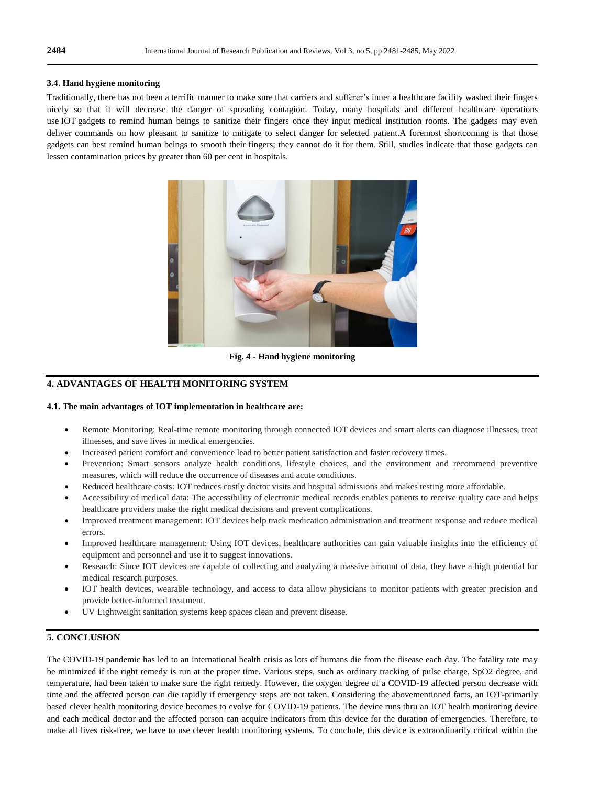#### **3.4. Hand hygiene monitoring**

Traditionally, there has not been a terrific manner to make sure that carriers and sufferer's inner a healthcare facility washed their fingers nicely so that it will decrease the danger of spreading contagion. Today, many hospitals and different healthcare operations use IOT gadgets to remind human beings to sanitize their fingers once they input medical institution rooms. The gadgets may even deliver commands on how pleasant to sanitize to mitigate to select danger for selected patient.A foremost shortcoming is that those gadgets can best remind human beings to smooth their fingers; they cannot do it for them. Still, studies indicate that those gadgets can lessen contamination prices by greater than 60 per cent in hospitals.



**Fig. 4 - Hand hygiene monitoring**

## **4. ADVANTAGES OF HEALTH MONITORING SYSTEM**

#### **4.1. The main advantages of IOT implementation in healthcare are:**

- Remote Monitoring: Real-time remote monitoring through connected IOT devices and smart alerts can diagnose illnesses, treat illnesses, and save lives in medical emergencies.
- Increased patient comfort and convenience lead to better patient satisfaction and faster recovery times.
- Prevention: Smart sensors analyze health conditions, lifestyle choices, and the environment and recommend preventive measures, which will reduce the occurrence of diseases and acute conditions.
- Reduced healthcare costs: IOT reduces costly doctor visits and hospital admissions and makes testing more affordable.
- Accessibility of medical data: The accessibility of electronic medical records enables patients to receive quality care and helps healthcare providers make the right medical decisions and prevent complications.
- Improved treatment management: IOT devices help track medication administration and treatment response and reduce medical errors.
- Improved healthcare management: Using IOT devices, healthcare authorities can gain valuable insights into the efficiency of equipment and personnel and use it to suggest innovations.
- Research: Since IOT devices are capable of collecting and analyzing a massive amount of data, they have a high potential for medical research purposes.
- IOT health devices, wearable technology, and access to data allow physicians to monitor patients with greater precision and provide better-informed treatment.
- UV Lightweight sanitation systems keep spaces clean and prevent disease.

## **5. CONCLUSION**

The COVID-19 pandemic has led to an international health crisis as lots of humans die from the disease each day. The fatality rate may be minimized if the right remedy is run at the proper time. Various steps, such as ordinary tracking of pulse charge, SpO2 degree, and temperature, had been taken to make sure the right remedy. However, the oxygen degree of a COVID-19 affected person decrease with time and the affected person can die rapidly if emergency steps are not taken. Considering the abovementioned facts, an IOT-primarily based clever health monitoring device becomes to evolve for COVID-19 patients. The device runs thru an IOT health monitoring device and each medical doctor and the affected person can acquire indicators from this device for the duration of emergencies. Therefore, to make all lives risk-free, we have to use clever health monitoring systems. To conclude, this device is extraordinarily critical within the